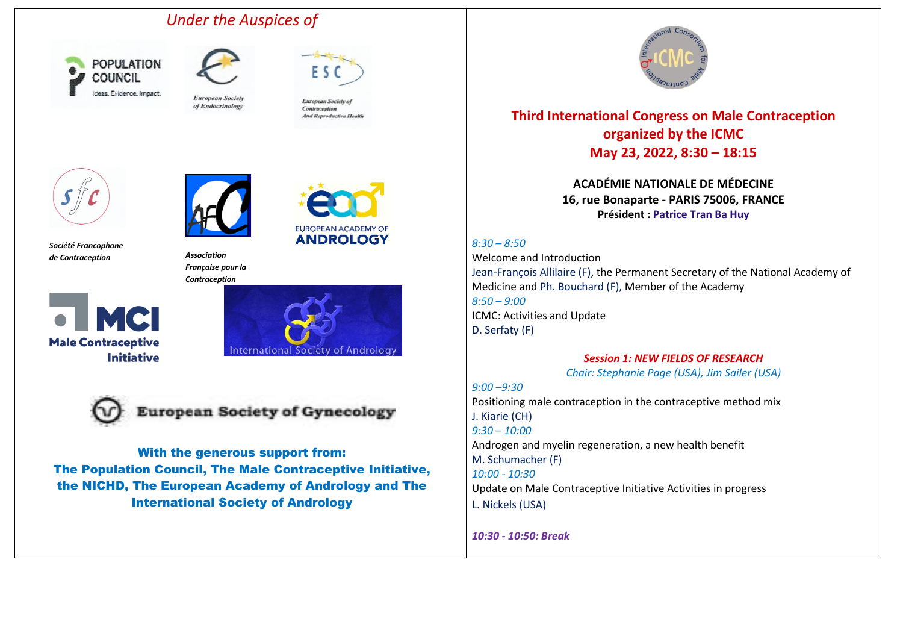## *Under the Auspices of*





**European Society** of Endocrinology



European Society of Contraception **And Reproductive Health** 

EUROPEAN ACADEMY OF **ANDROLOGY** 





*Société Francophone de Contraception Association*



*Française pour la Contraception*







**European Society of Gynecology** 

With the generous support from: The Population Council, The Male Contraceptive Initiative, the NICHD, The European Academy of Andrology and The International Society of Andrology



## **Third International Congress on Male Contraception organized by the ICMC May 23, 2022, 8:30 – 18:15**

**ACADÉMIE NATIONALE DE MÉDECINE 16, rue Bonaparte - PARIS 75006, FRANCE Président : Patrice Tran Ba Huy**

*8:30 – 8:50*

Welcome and Introduction Jean-François Allilaire (F), the Permanent Secretary of the National Academy of Medicine and Ph. Bouchard (F), Member of the Academy *8:50 – 9:00* ICMC: Activities and Update D. Serfaty (F)

## *Session 1: NEW FIELDS OF RESEARCH*

*Chair: Stephanie Page (USA), Jim Sailer (USA)*

*9:00 –9:30*  Positioning male contraception in the contraceptive method mix J. Kiarie (CH) *9:30 – 10:00*  Androgen and myelin regeneration, a new health benefit M. Schumacher (F) *10:00 - 10:30* Update on Male Contraceptive Initiative Activities in progress L. Nickels (USA)

*10:30 - 10:50: Break*